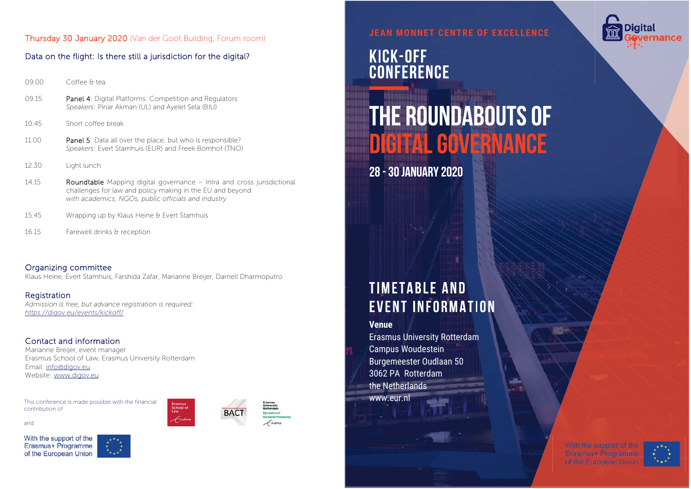### Thursday 30 January 2020 (Van der Goot Building, Forum room)

# Data on the flight: Is there still a jurisdiction for the digital?

| 09.00 | Coffee & tea                                                                                                      |
|-------|-------------------------------------------------------------------------------------------------------------------|
| 09.15 | <b>Panel 4:</b> Digital Platforms: Competition and Regulators<br>Speakers: Pinar Akman (UL) and Ayelet Sela (BIU) |
| 10.45 | Short coffee break                                                                                                |

- 11.00 **Panel 5:** Data all over the place; but who is responsible? *Speakers:* Evert Stamhuis (EUR) and Freek Bomhof (TNO)
- 12.30 Light lunch

14.15 **Roundtable** Mapping digital governance – Intra and cross jurisdictional challenges for law and policy making in the EU and beyond *with academics, NGOs, public officials and industry*

- 15.45 Wrapping up by Klaus Heine & Evert Stamhuis
- 16.15 Farewell drinks & reception

### Organizing committee Klaus Heine, Evert Stamhuis, Farshida Zafar, Marianne Breijer, Darnell Dharmoputro

**Registration** *Admission is free, but advance registration is required: https://digov.eu/events/kickoff/* 

# Contact and information

Marianne Breijer, event manager Erasmus School of Law, Erasmus University Rotterdam Email: info@digov.eu Website: www.digov.eu

This conference is made possible with the financial contribution of





**JEAN MONNET CENTRE OF EXCELLENCE**

# KICK-OFF<br>CONFERENCE

# **THE ROUNDABOUTS OF DIGITAL GOVERNANCE**

**28 - 30 JANUARY 2020** 

# **TIMETABLE AND EVENT INFORMATION**

**Venue**

Erasmus University Rotterdam Campus Woudestein Burgemeester Oudlaan 50 3062 PA Rotterdamthe Netherlands www.eur.nl

> With the support of the Erasmus+ Programme



Digital



and